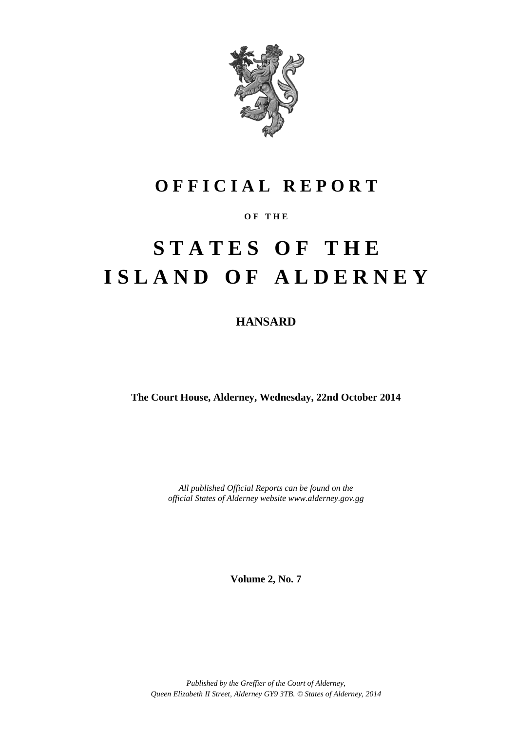

### **O F F I C I A L R E P O R T**

#### **O F T H E**

# **S T A T E S O F T H E I S L A N D O F A L D E R N E Y**

**HANSARD**

**The Court House, Alderney, Wednesday, 22nd October 2014**

*All published Official Reports can be found on the official States of Alderney website www.alderney.gov.gg*

**Volume 2, No. 7**

*Published by the Greffier of the Court of Alderney, Queen Elizabeth II Street, Alderney GY9 3TB. © States of Alderney, 2014*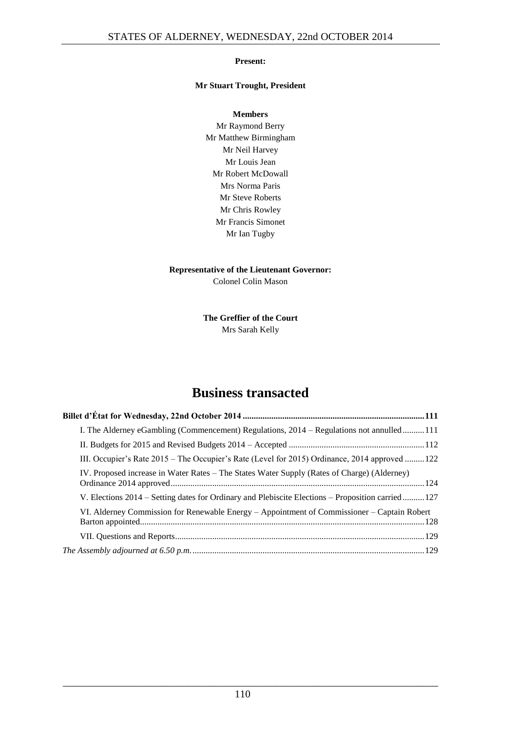#### **Present:**

#### **Mr Stuart Trought, President**

**Members** Mr Raymond Berry Mr Matthew Birmingham Mr Neil Harvey Mr Louis Jean Mr Robert McDowall Mrs Norma Paris Mr Steve Roberts Mr Chris Rowley Mr Francis Simonet Mr Ian Tugby

#### **Representative of the Lieutenant Governor:** Colonel Colin Mason

**The Greffier of the Court** Mrs Sarah Kelly

### **Business transacted**

| I. The Alderney eGambling (Commencement) Regulations, 2014 – Regulations not annulled111          |  |  |  |
|---------------------------------------------------------------------------------------------------|--|--|--|
|                                                                                                   |  |  |  |
| III. Occupier's Rate 2015 – The Occupier's Rate (Level for 2015) Ordinance, 2014 approved  122    |  |  |  |
| IV. Proposed increase in Water Rates – The States Water Supply (Rates of Charge) (Alderney)       |  |  |  |
| V. Elections 2014 – Setting dates for Ordinary and Plebiscite Elections – Proposition carried 127 |  |  |  |
| VI. Alderney Commission for Renewable Energy – Appointment of Commissioner – Captain Robert       |  |  |  |
|                                                                                                   |  |  |  |
|                                                                                                   |  |  |  |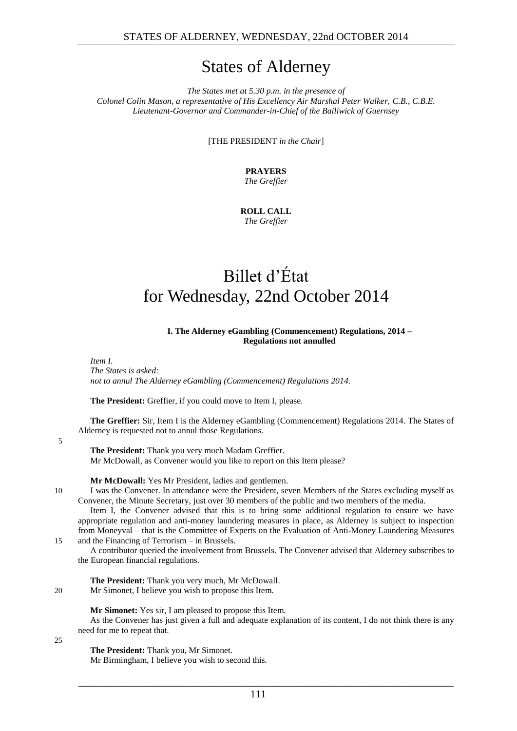### States of Alderney

*The States met at 5.30 p.m. in the presence of Colonel Colin Mason, a representative of His Excellency Air Marshal Peter Walker, C.B., C.B.E. Lieutenant-Governor and Commander-in-Chief of the Bailiwick of Guernsey*

[THE PRESIDENT *in the Chair*]

**PRAYERS** *The Greffier*

**ROLL CALL** *The Greffier*

## <span id="page-2-0"></span>Billet d'État for Wednesday, 22nd October 2014

#### **I. The Alderney eGambling (Commencement) Regulations, 2014 – Regulations not annulled**

<span id="page-2-1"></span>*Item I.*

*The States is asked: not to annul The Alderney eGambling (Commencement) Regulations 2014.*

**The President:** Greffier, if you could move to Item I, please.

**The Greffier:** Sir, Item I is the Alderney eGambling (Commencement) Regulations 2014. The States of Alderney is requested not to annul those Regulations.

5

**The President:** Thank you very much Madam Greffier. Mr McDowall, as Convener would you like to report on this Item please?

**Mr McDowall:** Yes Mr President, ladies and gentlemen.

10 I was the Convener. In attendance were the President, seven Members of the States excluding myself as Convener, the Minute Secretary, just over 30 members of the public and two members of the media.

Item I, the Convener advised that this is to bring some additional regulation to ensure we have appropriate regulation and anti-money laundering measures in place, as Alderney is subject to inspection from Moneyval – that is the Committee of Experts on the Evaluation of Anti-Money Laundering Measures 15 and the Financing of Terrorism – in Brussels.

A contributor queried the involvement from Brussels. The Convener advised that Alderney subscribes to the European financial regulations.

**The President:** Thank you very much, Mr McDowall. 20 Mr Simonet, I believe you wish to propose this Item.

**Mr Simonet:** Yes sir, I am pleased to propose this Item.

As the Convener has just given a full and adequate explanation of its content, I do not think there is any need for me to repeat that.

25

**The President:** Thank you, Mr Simonet.

Mr Birmingham, I believe you wish to second this.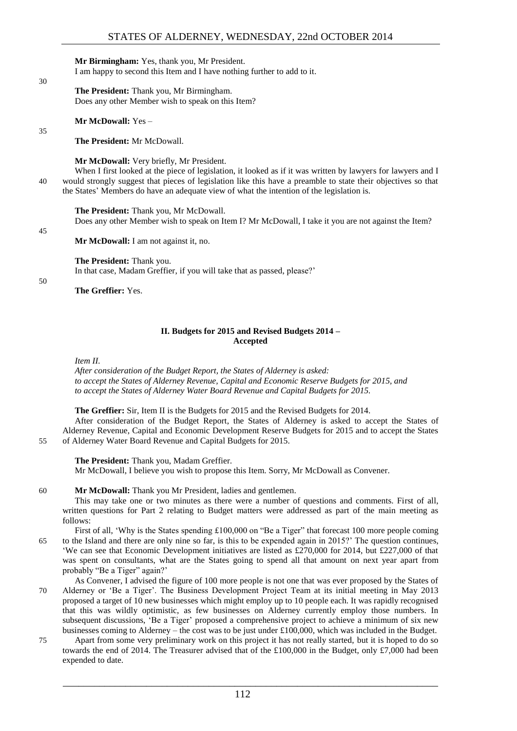#### **Mr Birmingham:** Yes, thank you, Mr President.

I am happy to second this Item and I have nothing further to add to it.

**The President:** Thank you, Mr Birmingham. Does any other Member wish to speak on this Item?

**Mr McDowall:** Yes –

**The President:** Mr McDowall.

**Mr McDowall:** Very briefly, Mr President.

When I first looked at the piece of legislation, it looked as if it was written by lawyers for lawyers and I 40 would strongly suggest that pieces of legislation like this have a preamble to state their objectives so that the States' Members do have an adequate view of what the intention of the legislation is.

#### **The President:** Thank you, Mr McDowall.

Does any other Member wish to speak on Item I? Mr McDowall, I take it you are not against the Item?

45

30

35

**Mr McDowall:** I am not against it, no.

**The President:** Thank you.

In that case, Madam Greffier, if you will take that as passed, please?'

50

**The Greffier:** Yes.

#### **II. Budgets for 2015 and Revised Budgets 2014 – Accepted**

<span id="page-3-0"></span>*Item II.*

*After consideration of the Budget Report, the States of Alderney is asked: to accept the States of Alderney Revenue, Capital and Economic Reserve Budgets for 2015, and to accept the States of Alderney Water Board Revenue and Capital Budgets for 2015.*

#### **The Greffier:** Sir, Item II is the Budgets for 2015 and the Revised Budgets for 2014.

After consideration of the Budget Report, the States of Alderney is asked to accept the States of Alderney Revenue, Capital and Economic Development Reserve Budgets for 2015 and to accept the States 55 of Alderney Water Board Revenue and Capital Budgets for 2015.

**The President:** Thank you, Madam Greffier. Mr McDowall, I believe you wish to propose this Item. Sorry, Mr McDowall as Convener.

#### 60 **Mr McDowall:** Thank you Mr President, ladies and gentlemen.

This may take one or two minutes as there were a number of questions and comments. First of all, written questions for Part 2 relating to Budget matters were addressed as part of the main meeting as follows:

- First of all, 'Why is the States spending £100,000 on "Be a Tiger" that forecast 100 more people coming 65 to the Island and there are only nine so far, is this to be expended again in 2015?' The question continues, 'We can see that Economic Development initiatives are listed as £270,000 for 2014, but £227,000 of that was spent on consultants, what are the States going to spend all that amount on next year apart from probably "Be a Tiger" again?'
- As Convener, I advised the figure of 100 more people is not one that was ever proposed by the States of 70 Alderney or 'Be a Tiger'. The Business Development Project Team at its initial meeting in May 2013 proposed a target of 10 new businesses which might employ up to 10 people each. It was rapidly recognised that this was wildly optimistic, as few businesses on Alderney currently employ those numbers. In subsequent discussions, 'Be a Tiger' proposed a comprehensive project to achieve a minimum of six new businesses coming to Alderney – the cost was to be just under £100,000, which was included in the Budget.
- 75 Apart from some very preliminary work on this project it has not really started, but it is hoped to do so towards the end of 2014. The Treasurer advised that of the £100,000 in the Budget, only £7,000 had been expended to date.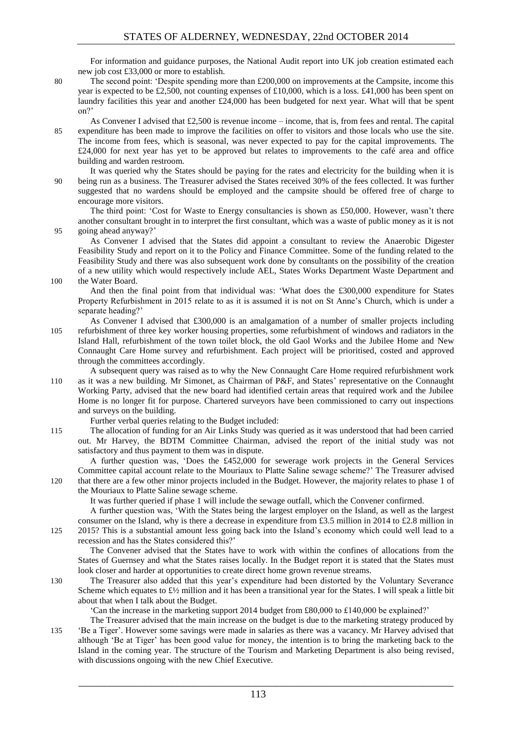For information and guidance purposes, the National Audit report into UK job creation estimated each new job cost £33,000 or more to establish.

80 The second point: 'Despite spending more than £200,000 on improvements at the Campsite, income this year is expected to be £2,500, not counting expenses of £10,000, which is a loss. £41,000 has been spent on laundry facilities this year and another £24,000 has been budgeted for next year. What will that be spent on?'

As Convener I advised that  $£2,500$  is revenue income – income, that is, from fees and rental. The capital 85 expenditure has been made to improve the facilities on offer to visitors and those locals who use the site. The income from fees, which is seasonal, was never expected to pay for the capital improvements. The £24,000 for next year has yet to be approved but relates to improvements to the café area and office building and warden restroom.

It was queried why the States should be paying for the rates and electricity for the building when it is 90 being run as a business. The Treasurer advised the States received 30% of the fees collected. It was further suggested that no wardens should be employed and the campsite should be offered free of charge to encourage more visitors.

The third point: 'Cost for Waste to Energy consultancies is shown as £50,000. However, wasn't there another consultant brought in to interpret the first consultant, which was a waste of public money as it is not 95 going ahead anyway?'

As Convener I advised that the States did appoint a consultant to review the Anaerobic Digester Feasibility Study and report on it to the Policy and Finance Committee. Some of the funding related to the Feasibility Study and there was also subsequent work done by consultants on the possibility of the creation of a new utility which would respectively include AEL, States Works Department Waste Department and 100 the Water Board.

And then the final point from that individual was: 'What does the £300,000 expenditure for States Property Refurbishment in 2015 relate to as it is assumed it is not on St Anne's Church, which is under a separate heading?'

- As Convener I advised that £300,000 is an amalgamation of a number of smaller projects including 105 refurbishment of three key worker housing properties, some refurbishment of windows and radiators in the Island Hall, refurbishment of the town toilet block, the old Gaol Works and the Jubilee Home and New Connaught Care Home survey and refurbishment. Each project will be prioritised, costed and approved through the committees accordingly.
- A subsequent query was raised as to why the New Connaught Care Home required refurbishment work 110 as it was a new building. Mr Simonet, as Chairman of P&F, and States' representative on the Connaught Working Party, advised that the new board had identified certain areas that required work and the Jubilee Home is no longer fit for purpose. Chartered surveyors have been commissioned to carry out inspections and surveys on the building.

Further verbal queries relating to the Budget included:

115 The allocation of funding for an Air Links Study was queried as it was understood that had been carried out. Mr Harvey, the BDTM Committee Chairman, advised the report of the initial study was not satisfactory and thus payment to them was in dispute.

A further question was, 'Does the £452,000 for sewerage work projects in the General Services Committee capital account relate to the Mouriaux to Platte Saline sewage scheme?' The Treasurer advised 120 that there are a few other minor projects included in the Budget. However, the majority relates to phase 1 of

the Mouriaux to Platte Saline sewage scheme.

It was further queried if phase 1 will include the sewage outfall, which the Convener confirmed.

A further question was, 'With the States being the largest employer on the Island, as well as the largest consumer on the Island, why is there a decrease in expenditure from £3.5 million in 2014 to £2.8 million in 125 2015? This is a substantial amount less going back into the Island's economy which could well lead to a recession and has the States considered this?'

The Convener advised that the States have to work with within the confines of allocations from the States of Guernsey and what the States raises locally. In the Budget report it is stated that the States must look closer and harder at opportunities to create direct home grown revenue streams.

130 The Treasurer also added that this year's expenditure had been distorted by the Voluntary Severance Scheme which equates to  $\frac{f}{2}$  million and it has been a transitional year for the States. I will speak a little bit about that when I talk about the Budget.

'Can the increase in the marketing support 2014 budget from £80,000 to £140,000 be explained?'

The Treasurer advised that the main increase on the budget is due to the marketing strategy produced by 135 'Be a Tiger'. However some savings were made in salaries as there was a vacancy. Mr Harvey advised that although 'Be at Tiger' has been good value for money, the intention is to bring the marketing back to the Island in the coming year. The structure of the Tourism and Marketing Department is also being revised, with discussions ongoing with the new Chief Executive.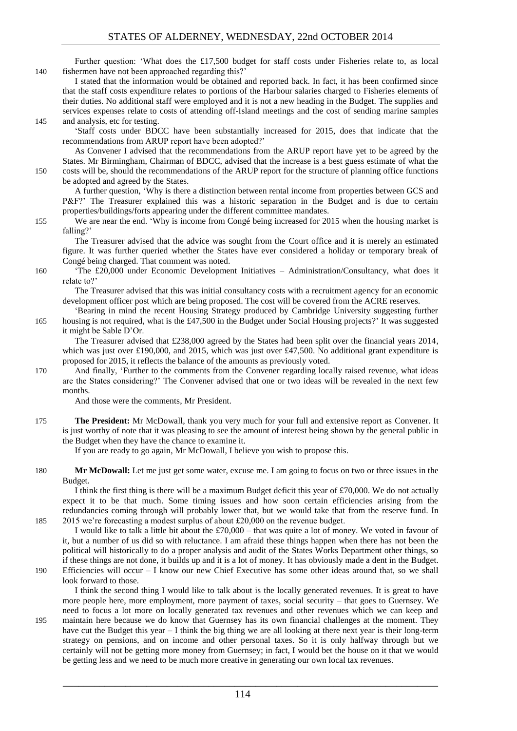Further question: 'What does the £17,500 budget for staff costs under Fisheries relate to, as local 140 fishermen have not been approached regarding this?'

I stated that the information would be obtained and reported back. In fact, it has been confirmed since that the staff costs expenditure relates to portions of the Harbour salaries charged to Fisheries elements of their duties. No additional staff were employed and it is not a new heading in the Budget. The supplies and services expenses relate to costs of attending off-Island meetings and the cost of sending marine samples 145 and analysis, etc for testing.

#### 'Staff costs under BDCC have been substantially increased for 2015, does that indicate that the recommendations from ARUP report have been adopted?'

As Convener I advised that the recommendations from the ARUP report have yet to be agreed by the States. Mr Birmingham, Chairman of BDCC, advised that the increase is a best guess estimate of what the 150 costs will be, should the recommendations of the ARUP report for the structure of planning office functions be adopted and agreed by the States.

A further question, 'Why is there a distinction between rental income from properties between GCS and P&F?' The Treasurer explained this was a historic separation in the Budget and is due to certain properties/buildings/forts appearing under the different committee mandates.

155 We are near the end. 'Why is income from Congé being increased for 2015 when the housing market is falling?'

The Treasurer advised that the advice was sought from the Court office and it is merely an estimated figure. It was further queried whether the States have ever considered a holiday or temporary break of Congé being charged. That comment was noted.

160 'The £20,000 under Economic Development Initiatives – Administration/Consultancy, what does it relate to?'

The Treasurer advised that this was initial consultancy costs with a recruitment agency for an economic development officer post which are being proposed. The cost will be covered from the ACRE reserves.

'Bearing in mind the recent Housing Strategy produced by Cambridge University suggesting further 165 housing is not required, what is the £47,500 in the Budget under Social Housing projects?' It was suggested it might be Sable D'Or.

The Treasurer advised that £238,000 agreed by the States had been split over the financial years 2014, which was just over £190,000, and 2015, which was just over £47,500. No additional grant expenditure is proposed for 2015, it reflects the balance of the amounts as previously voted.

170 And finally, 'Further to the comments from the Convener regarding locally raised revenue, what ideas are the States considering?' The Convener advised that one or two ideas will be revealed in the next few months.

And those were the comments, Mr President.

175 **The President:** Mr McDowall, thank you very much for your full and extensive report as Convener. It is just worthy of note that it was pleasing to see the amount of interest being shown by the general public in the Budget when they have the chance to examine it.

If you are ready to go again, Mr McDowall, I believe you wish to propose this.

180 **Mr McDowall:** Let me just get some water, excuse me. I am going to focus on two or three issues in the Budget.

I think the first thing is there will be a maximum Budget deficit this year of £70,000. We do not actually expect it to be that much. Some timing issues and how soon certain efficiencies arising from the redundancies coming through will probably lower that, but we would take that from the reserve fund. In 185 2015 we're forecasting a modest surplus of about £20,000 on the revenue budget.

I would like to talk a little bit about the £70,000 – that was quite a lot of money. We voted in favour of it, but a number of us did so with reluctance. I am afraid these things happen when there has not been the political will historically to do a proper analysis and audit of the States Works Department other things, so if these things are not done, it builds up and it is a lot of money. It has obviously made a dent in the Budget. 190 Efficiencies will occur – I know our new Chief Executive has some other ideas around that, so we shall

look forward to those.

I think the second thing I would like to talk about is the locally generated revenues. It is great to have more people here, more employment, more payment of taxes, social security – that goes to Guernsey. We need to focus a lot more on locally generated tax revenues and other revenues which we can keep and

195 maintain here because we do know that Guernsey has its own financial challenges at the moment. They have cut the Budget this year – I think the big thing we are all looking at there next year is their long-term strategy on pensions, and on income and other personal taxes. So it is only halfway through but we certainly will not be getting more money from Guernsey; in fact, I would bet the house on it that we would be getting less and we need to be much more creative in generating our own local tax revenues.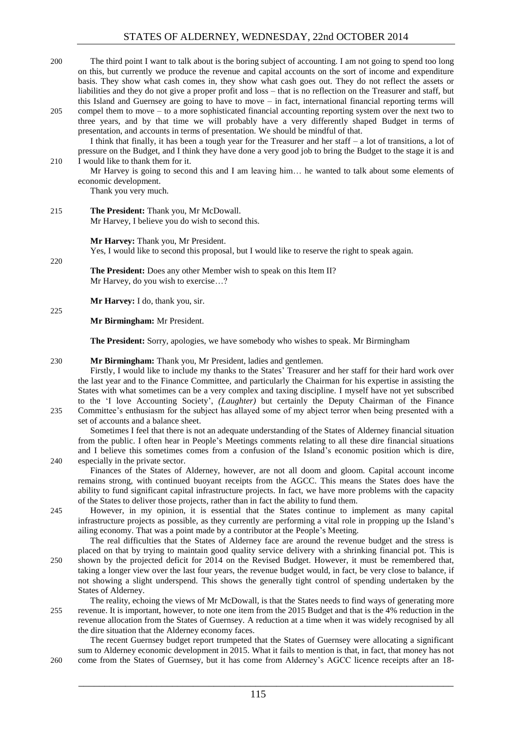- 200 The third point I want to talk about is the boring subject of accounting. I am not going to spend too long on this, but currently we produce the revenue and capital accounts on the sort of income and expenditure basis. They show what cash comes in, they show what cash goes out. They do not reflect the assets or liabilities and they do not give a proper profit and loss – that is no reflection on the Treasurer and staff, but this Island and Guernsey are going to have to move – in fact, international financial reporting terms will
- 205 compel them to move to a more sophisticated financial accounting reporting system over the next two to three years, and by that time we will probably have a very differently shaped Budget in terms of presentation, and accounts in terms of presentation. We should be mindful of that. I think that finally, it has been a tough year for the Treasurer and her staff – a lot of transitions, a lot of
- pressure on the Budget, and I think they have done a very good job to bring the Budget to the stage it is and 210 I would like to thank them for it.

Mr Harvey is going to second this and I am leaving him… he wanted to talk about some elements of economic development.

Thank you very much.

220

225

215 **The President:** Thank you, Mr McDowall. Mr Harvey, I believe you do wish to second this.

**Mr Harvey:** Thank you, Mr President.

Yes, I would like to second this proposal, but I would like to reserve the right to speak again.

**The President:** Does any other Member wish to speak on this Item II? Mr Harvey, do you wish to exercise…?

**Mr Harvey:** I do, thank you, sir.

**Mr Birmingham:** Mr President.

**The President:** Sorry, apologies, we have somebody who wishes to speak. Mr Birmingham

#### 230 **Mr Birmingham:** Thank you, Mr President, ladies and gentlemen.

Firstly, I would like to include my thanks to the States' Treasurer and her staff for their hard work over the last year and to the Finance Committee, and particularly the Chairman for his expertise in assisting the States with what sometimes can be a very complex and taxing discipline. I myself have not yet subscribed to the 'I love Accounting Society', *(Laughter)* but certainly the Deputy Chairman of the Finance 235 Committee's enthusiasm for the subject has allayed some of my abject terror when being presented with a

set of accounts and a balance sheet.

Sometimes I feel that there is not an adequate understanding of the States of Alderney financial situation from the public. I often hear in People's Meetings comments relating to all these dire financial situations and I believe this sometimes comes from a confusion of the Island's economic position which is dire, 240 especially in the private sector.

Finances of the States of Alderney, however, are not all doom and gloom. Capital account income remains strong, with continued buoyant receipts from the AGCC. This means the States does have the ability to fund significant capital infrastructure projects. In fact, we have more problems with the capacity of the States to deliver those projects, rather than in fact the ability to fund them.

245 However, in my opinion, it is essential that the States continue to implement as many capital infrastructure projects as possible, as they currently are performing a vital role in propping up the Island's ailing economy. That was a point made by a contributor at the People's Meeting. The real difficulties that the States of Alderney face are around the revenue budget and the stress is

- placed on that by trying to maintain good quality service delivery with a shrinking financial pot. This is 250 shown by the projected deficit for 2014 on the Revised Budget. However, it must be remembered that, taking a longer view over the last four years, the revenue budget would, in fact, be very close to balance, if not showing a slight underspend. This shows the generally tight control of spending undertaken by the States of Alderney.
- The reality, echoing the views of Mr McDowall, is that the States needs to find ways of generating more 255 revenue. It is important, however, to note one item from the 2015 Budget and that is the 4% reduction in the revenue allocation from the States of Guernsey. A reduction at a time when it was widely recognised by all the dire situation that the Alderney economy faces.

The recent Guernsey budget report trumpeted that the States of Guernsey were allocating a significant sum to Alderney economic development in 2015. What it fails to mention is that, in fact, that money has not 260 come from the States of Guernsey, but it has come from Alderney's AGCC licence receipts after an 18-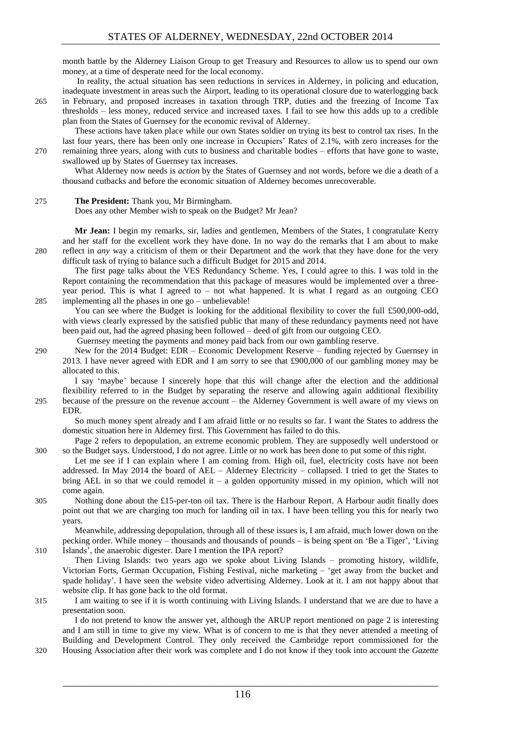month battle by the Alderney Liaison Group to get Treasury and Resources to allow us to spend our own money, at a time of desperate need for the local economy.

In reality, the actual situation has seen reductions in services in Alderney, in policing and education, inadequate investment in areas such the Airport, leading to its operational closure due to waterlogging back 265 in February, and proposed increases in taxation through TRP, duties and the freezing of Income Tax

thresholds – less money, reduced service and increased taxes. I fail to see how this adds up to a credible plan from the States of Guernsey for the economic revival of Alderney.

These actions have taken place while our own States soldier on trying its best to control tax rises. In the last four years, there has been only one increase in Occupiers' Rates of 2.1%, with zero increases for the 270 remaining three years, along with cuts to business and charitable bodies – efforts that have gone to waste, swallowed up by States of Guernsey tax increases.

What Alderney now needs is *action* by the States of Guernsey and not words, before we die a death of a thousand cutbacks and before the economic situation of Alderney becomes unrecoverable.

#### 275 **The President:** Thank you, Mr Birmingham.

Does any other Member wish to speak on the Budget? Mr Jean?

**Mr Jean:** I begin my remarks, sir, ladies and gentlemen, Members of the States, I congratulate Kerry and her staff for the excellent work they have done. In no way do the remarks that I am about to make 280 reflect in *any* way a criticism of them or their Department and the work that they have done for the very difficult task of trying to balance such a difficult Budget for 2015 and 2014.

The first page talks about the VES Redundancy Scheme. Yes, I could agree to this. I was told in the Report containing the recommendation that this package of measures would be implemented over a threeyear period. This is what I agreed to – not what happened. It is what I regard as an outgoing CEO 285 implementing all the phases in one go – unbelievable!

You can see where the Budget is looking for the additional flexibility to cover the full £500,000-odd, with views clearly expressed by the satisfied public that many of these redundancy payments need not have been paid out, had the agreed phasing been followed – deed of gift from our outgoing CEO.

Guernsey meeting the payments and money paid back from our own gambling reserve.

290 New for the 2014 Budget: EDR – Economic Development Reserve – funding rejected by Guernsey in 2013. I have never agreed with EDR and I am sorry to see that £900,000 of our gambling money may be allocated to this.

I say 'maybe' because I sincerely hope that this will change after the election and the additional flexibility referred to in the Budget by separating the reserve and allowing again additional flexibility 295 because of the pressure on the revenue account – the Alderney Government is well aware of my views on EDR.

- So much money spent already and I am afraid little or no results so far. I want the States to address the domestic situation here in Alderney first. This Government has failed to do this.
- Page 2 refers to depopulation, an extreme economic problem. They are supposedly well understood or 300 so the Budget says. Understood, I do not agree. Little or no work has been done to put some of this right.
	- Let me see if I can explain where I am coming from. High oil, fuel, electricity costs have not been addressed. In May 2014 the board of AEL – Alderney Electricity – collapsed. I tried to get the States to bring AEL in so that we could remodel it – a golden opportunity missed in my opinion, which will not come again.
- 305 Nothing done about the £15-per-ton oil tax. There is the Harbour Report. A Harbour audit finally does point out that we are charging too much for landing oil in tax. I have been telling you this for nearly two years.

Meanwhile, addressing depopulation, through all of these issues is, I am afraid, much lower down on the pecking order. While money – thousands and thousands of pounds – is being spent on 'Be a Tiger', 'Living 310 Islands', the anaerobic digester. Dare I mention the IPA report?

Then Living Islands: two years ago we spoke about Living Islands – promoting history, wildlife, Victorian Forts, German Occupation, Fishing Festival, niche marketing – 'get away from the bucket and spade holiday'. I have seen the website video advertising Alderney. Look at it. I am not happy about that website clip. It has gone back to the old format.

315 I am waiting to see if it is worth continuing with Living Islands. I understand that we are due to have a presentation soon.

I do not pretend to know the answer yet, although the ARUP report mentioned on page 2 is interesting and I am still in time to give my view. What is of concern to me is that they never attended a meeting of Building and Development Control. They only received the Cambridge report commissioned for the 320 Housing Association after their work was complete and I do not know if they took into account the *Gazette*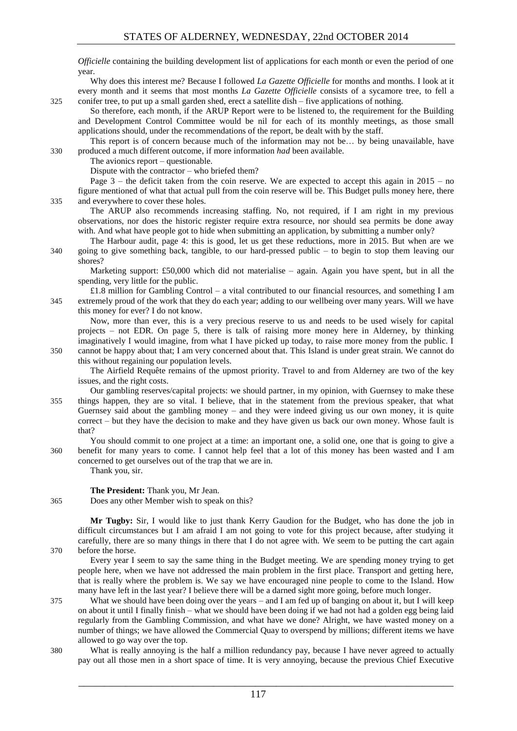*Officielle* containing the building development list of applications for each month or even the period of one year.

Why does this interest me? Because I followed *La Gazette Officielle* for months and months. I look at it every month and it seems that most months *La Gazette Officielle* consists of a sycamore tree, to fell a 325 conifer tree, to put up a small garden shed, erect a satellite dish – five applications of nothing.

So therefore, each month, if the ARUP Report were to be listened to, the requirement for the Building and Development Control Committee would be nil for each of its monthly meetings, as those small applications should, under the recommendations of the report, be dealt with by the staff.

This report is of concern because much of the information may not be… by being unavailable, have 330 produced a much different outcome, if more information *had* been available.

The avionics report – questionable.

Dispute with the contractor – who briefed them?

Page 3 – the deficit taken from the coin reserve. We are expected to accept this again in 2015 – no figure mentioned of what that actual pull from the coin reserve will be. This Budget pulls money here, there 335 and everywhere to cover these holes.

The ARUP also recommends increasing staffing. No, not required, if I am right in my previous observations, nor does the historic register require extra resource, nor should sea permits be done away with. And what have people got to hide when submitting an application, by submitting a number only?

The Harbour audit, page 4: this is good, let us get these reductions, more in 2015. But when are we 340 going to give something back, tangible, to our hard-pressed public – to begin to stop them leaving our shores?

Marketing support: £50,000 which did not materialise – again. Again you have spent, but in all the spending, very little for the public.

£1.8 million for Gambling Control – a vital contributed to our financial resources, and something I am 345 extremely proud of the work that they do each year; adding to our wellbeing over many years. Will we have this money for ever? I do not know.

Now, more than ever, this is a very precious reserve to us and needs to be used wisely for capital projects – not EDR. On page 5, there is talk of raising more money here in Alderney, by thinking imaginatively I would imagine, from what I have picked up today, to raise more money from the public. I 350 cannot be happy about that; I am very concerned about that. This Island is under great strain. We cannot do

this without regaining our population levels.

The Airfield Requête remains of the upmost priority. Travel to and from Alderney are two of the key issues, and the right costs.

Our gambling reserves/capital projects: we should partner, in my opinion, with Guernsey to make these 355 things happen, they are so vital. I believe, that in the statement from the previous speaker, that what Guernsey said about the gambling money – and they were indeed giving us our own money, it is quite correct – but they have the decision to make and they have given us back our own money. Whose fault is that?

You should commit to one project at a time: an important one, a solid one, one that is going to give a 360 benefit for many years to come. I cannot help feel that a lot of this money has been wasted and I am concerned to get ourselves out of the trap that we are in.

Thank you, sir.

**The President:** Thank you, Mr Jean.

365 Does any other Member wish to speak on this?

**Mr Tugby:** Sir, I would like to just thank Kerry Gaudion for the Budget, who has done the job in difficult circumstances but I am afraid I am not going to vote for this project because, after studying it carefully, there are so many things in there that I do not agree with. We seem to be putting the cart again 370 before the horse.

Every year I seem to say the same thing in the Budget meeting. We are spending money trying to get people here, when we have not addressed the main problem in the first place. Transport and getting here, that is really where the problem is. We say we have encouraged nine people to come to the Island. How many have left in the last year? I believe there will be a darned sight more going, before much longer.

- 375 What we should have been doing over the years and I am fed up of banging on about it, but I will keep on about it until I finally finish – what we should have been doing if we had not had a golden egg being laid regularly from the Gambling Commission, and what have we done? Alright, we have wasted money on a number of things; we have allowed the Commercial Quay to overspend by millions; different items we have allowed to go way over the top.
- 380 What is really annoying is the half a million redundancy pay, because I have never agreed to actually pay out all those men in a short space of time. It is very annoying, because the previous Chief Executive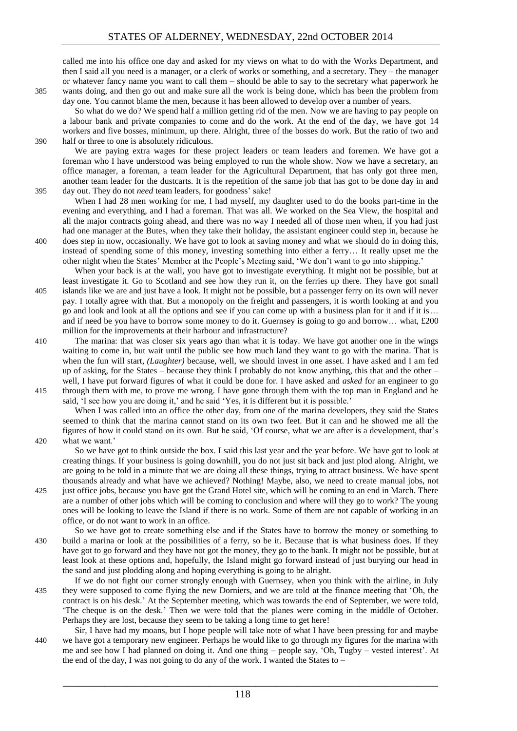called me into his office one day and asked for my views on what to do with the Works Department, and then I said all you need is a manager, or a clerk of works or something, and a secretary. They – the manager or whatever fancy name you want to call them – should be able to say to the secretary what paperwork he 385 wants doing, and then go out and make sure all the work is being done, which has been the problem from day one. You cannot blame the men, because it has been allowed to develop over a number of years.

So what do we do? We spend half a million getting rid of the men. Now we are having to pay people on a labour bank and private companies to come and do the work. At the end of the day, we have got 14 workers and five bosses, minimum, up there. Alright, three of the bosses do work. But the ratio of two and 390 half or three to one is absolutely ridiculous.

We are paying extra wages for these project leaders or team leaders and foremen. We have got a foreman who I have understood was being employed to run the whole show. Now we have a secretary, an office manager, a foreman, a team leader for the Agricultural Department, that has only got three men, another team leader for the dustcarts. It is the repetition of the same job that has got to be done day in and 395 day out. They do not *need* team leaders, for goodness' sake!

When I had 28 men working for me, I had myself, my daughter used to do the books part-time in the evening and everything, and I had a foreman. That was all. We worked on the Sea View, the hospital and all the major contracts going ahead, and there was no way I needed all of those men when, if you had just had one manager at the Butes, when they take their holiday, the assistant engineer could step in, because he 400 does step in now, occasionally. We have got to look at saving money and what we should do in doing this, instead of spending some of this money, investing something into either a ferry… It really upset me the

other night when the States' Member at the People's Meeting said, 'We don't want to go into shipping.' When your back is at the wall, you have got to investigate everything. It might not be possible, but at

least investigate it. Go to Scotland and see how they run it, on the ferries up there. They have got small 405 islands like we are and just have a look. It might not be possible, but a passenger ferry on its own will never pay. I totally agree with that. But a monopoly on the freight and passengers, it is worth looking at and you go and look and look at all the options and see if you can come up with a business plan for it and if it is… and if need be you have to borrow some money to do it. Guernsey is going to go and borrow... what, £200 million for the improvements at their harbour and infrastructure?

- 410 The marina: that was closer six years ago than what it is today. We have got another one in the wings waiting to come in, but wait until the public see how much land they want to go with the marina. That is when the fun will start, *(Laughter)* because, well, we should invest in one asset. I have asked and I am fed up of asking, for the States – because they think I probably do not know anything, this that and the other – well, I have put forward figures of what it could be done for. I have asked and *asked* for an engineer to go
- 415 through them with me, to prove me wrong. I have gone through them with the top man in England and he said, 'I see how you are doing it,' and he said 'Yes, it is different but it is possible.' When I was called into an office the other day, from one of the marina developers, they said the States

seemed to think that the marina cannot stand on its own two feet. But it can and he showed me all the figures of how it could stand on its own. But he said, 'Of course, what we are after is a development, that's 420 what we want.'

So we have got to think outside the box. I said this last year and the year before. We have got to look at creating things. If your business is going downhill, you do not just sit back and just plod along. Alright, we are going to be told in a minute that we are doing all these things, trying to attract business. We have spent thousands already and what have we achieved? Nothing! Maybe, also, we need to create manual jobs, not

- 425 just office jobs, because you have got the Grand Hotel site, which will be coming to an end in March. There are a number of other jobs which will be coming to conclusion and where will they go to work? The young ones will be looking to leave the Island if there is no work. Some of them are not capable of working in an office, or do not want to work in an office.
- So we have got to create something else and if the States have to borrow the money or something to 430 build a marina or look at the possibilities of a ferry, so be it. Because that is what business does. If they have got to go forward and they have not got the money, they go to the bank. It might not be possible, but at least look at these options and, hopefully, the Island might go forward instead of just burying our head in the sand and just plodding along and hoping everything is going to be alright.
- If we do not fight our corner strongly enough with Guernsey, when you think with the airline, in July 435 they were supposed to come flying the new Dorniers, and we are told at the finance meeting that 'Oh, the contract is on his desk.' At the September meeting, which was towards the end of September, we were told, 'The cheque is on the desk.' Then we were told that the planes were coming in the middle of October. Perhaps they are lost, because they seem to be taking a long time to get here!
- Sir, I have had my moans, but I hope people will take note of what I have been pressing for and maybe 440 we have got a temporary new engineer. Perhaps he would like to go through my figures for the marina with me and see how I had planned on doing it. And one thing – people say, 'Oh, Tugby – vested interest'. At the end of the day, I was not going to do any of the work. I wanted the States to –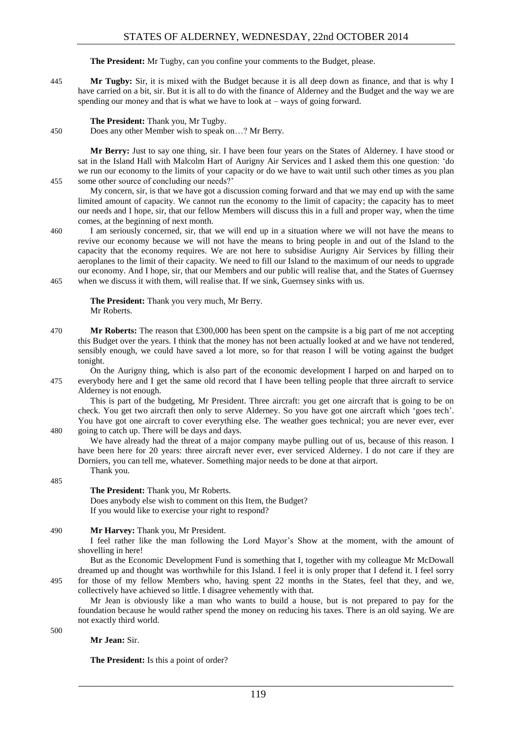**The President:** Mr Tugby, can you confine your comments to the Budget, please.

445 **Mr Tugby:** Sir, it is mixed with the Budget because it is all deep down as finance, and that is why I have carried on a bit, sir. But it is all to do with the finance of Alderney and the Budget and the way we are spending our money and that is what we have to look at – ways of going forward.

#### **The President:** Thank you, Mr Tugby.

450 Does any other Member wish to speak on…? Mr Berry.

**Mr Berry:** Just to say one thing, sir. I have been four years on the States of Alderney. I have stood or sat in the Island Hall with Malcolm Hart of Aurigny Air Services and I asked them this one question: 'do we run our economy to the limits of your capacity or do we have to wait until such other times as you plan 455 some other source of concluding our needs?'

My concern, sir, is that we have got a discussion coming forward and that we may end up with the same limited amount of capacity. We cannot run the economy to the limit of capacity; the capacity has to meet our needs and I hope, sir, that our fellow Members will discuss this in a full and proper way, when the time comes, at the beginning of next month.

460 I am seriously concerned, sir, that we will end up in a situation where we will not have the means to revive our economy because we will not have the means to bring people in and out of the Island to the capacity that the economy requires. We are not here to subsidise Aurigny Air Services by filling their aeroplanes to the limit of their capacity. We need to fill our Island to the maximum of our needs to upgrade our economy. And I hope, sir, that our Members and our public will realise that, and the States of Guernsey 465 when we discuss it with them, will realise that. If we sink, Guernsey sinks with us.

**The President:** Thank you very much, Mr Berry. Mr Roberts.

470 **Mr Roberts:** The reason that £300,000 has been spent on the campsite is a big part of me not accepting this Budget over the years. I think that the money has not been actually looked at and we have not tendered, sensibly enough, we could have saved a lot more, so for that reason I will be voting against the budget tonight.

On the Aurigny thing, which is also part of the economic development I harped on and harped on to 475 everybody here and I get the same old record that I have been telling people that three aircraft to service Alderney is not enough.

This is part of the budgeting, Mr President. Three aircraft: you get one aircraft that is going to be on check. You get two aircraft then only to serve Alderney. So you have got one aircraft which 'goes tech'. You have got one aircraft to cover everything else. The weather goes technical; you are never ever, ever 480 going to catch up. There will be days and days.

We have already had the threat of a major company maybe pulling out of us, because of this reason. I have been here for 20 years: three aircraft never ever, ever serviced Alderney. I do not care if they are Dorniers, you can tell me, whatever. Something major needs to be done at that airport. Thank you.

485

**The President:** Thank you, Mr Roberts.

Does anybody else wish to comment on this Item, the Budget? If you would like to exercise your right to respond?

#### 490 **Mr Harvey:** Thank you, Mr President.

I feel rather like the man following the Lord Mayor's Show at the moment, with the amount of shovelling in here!

But as the Economic Development Fund is something that I, together with my colleague Mr McDowall dreamed up and thought was worthwhile for this Island. I feel it is only proper that I defend it. I feel sorry 495 for those of my fellow Members who, having spent 22 months in the States, feel that they, and we, collectively have achieved so little. I disagree vehemently with that.

Mr Jean is obviously like a man who wants to build a house, but is not prepared to pay for the foundation because he would rather spend the money on reducing his taxes. There is an old saying. We are not exactly third world.

500

**Mr Jean:** Sir.

**The President:** Is this a point of order?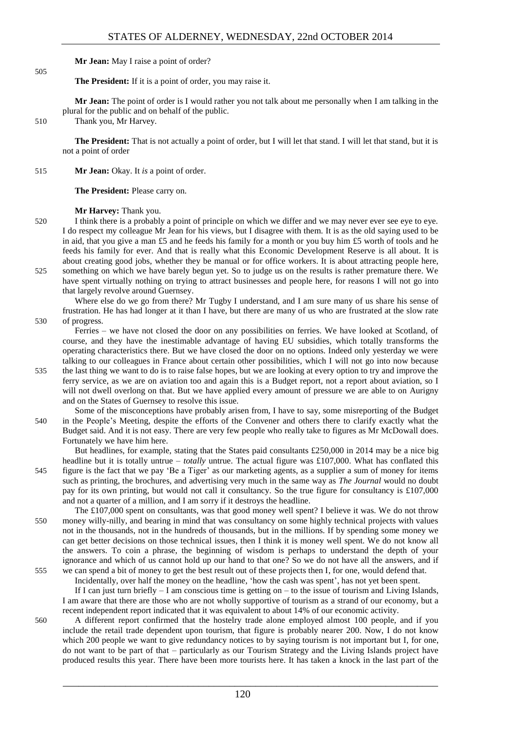#### **Mr Jean:** May I raise a point of order?

**The President:** If it is a point of order, you may raise it.

**Mr Jean:** The point of order is I would rather you not talk about me personally when I am talking in the plural for the public and on behalf of the public.

510 Thank you, Mr Harvey.

505

**The President:** That is not actually a point of order, but I will let that stand. I will let that stand, but it is not a point of order

515 **Mr Jean:** Okay. It *is* a point of order.

**The President:** Please carry on.

#### **Mr Harvey:** Thank you.

520 I think there is a probably a point of principle on which we differ and we may never ever see eye to eye. I do respect my colleague Mr Jean for his views, but I disagree with them. It is as the old saying used to be in aid, that you give a man £5 and he feeds his family for a month or you buy him £5 worth of tools and he feeds his family for ever. And that is really what this Economic Development Reserve is all about. It is about creating good jobs, whether they be manual or for office workers. It is about attracting people here,

525 something on which we have barely begun yet. So to judge us on the results is rather premature there. We have spent virtually nothing on trying to attract businesses and people here, for reasons I will not go into that largely revolve around Guernsey.

Where else do we go from there? Mr Tugby I understand, and I am sure many of us share his sense of frustration. He has had longer at it than I have, but there are many of us who are frustrated at the slow rate 530 of progress.

Ferries – we have not closed the door on any possibilities on ferries. We have looked at Scotland, of course, and they have the inestimable advantage of having EU subsidies, which totally transforms the operating characteristics there. But we have closed the door on no options. Indeed only yesterday we were talking to our colleagues in France about certain other possibilities, which I will not go into now because

- 535 the last thing we want to do is to raise false hopes, but we are looking at every option to try and improve the ferry service, as we are on aviation too and again this is a Budget report, not a report about aviation, so I will not dwell overlong on that. But we have applied every amount of pressure we are able to on Aurigny and on the States of Guernsey to resolve this issue.
- Some of the misconceptions have probably arisen from, I have to say, some misreporting of the Budget 540 in the People's Meeting, despite the efforts of the Convener and others there to clarify exactly what the Budget said. And it is not easy. There are very few people who really take to figures as Mr McDowall does. Fortunately we have him here.

But headlines, for example, stating that the States paid consultants £250,000 in 2014 may be a nice big headline but it is totally untrue – *totally* untrue. The actual figure was £107,000. What has conflated this 545 figure is the fact that we pay 'Be a Tiger' as our marketing agents, as a supplier a sum of money for items such as printing, the brochures, and advertising very much in the same way as *The Journal* would no doubt pay for its own printing, but would not call it consultancy. So the true figure for consultancy is £107,000 and not a quarter of a million, and I am sorry if it destroys the headline.

The £107,000 spent on consultants, was that good money well spent? I believe it was. We do not throw 550 money willy-nilly, and bearing in mind that was consultancy on some highly technical projects with values not in the thousands, not in the hundreds of thousands, but in the millions. If by spending some money we can get better decisions on those technical issues, then I think it is money well spent. We do not know all the answers. To coin a phrase, the beginning of wisdom is perhaps to understand the depth of your ignorance and which of us cannot hold up our hand to that one? So we do not have all the answers, and if 555 we can spend a bit of money to get the best result out of these projects then I, for one, would defend that.

Incidentally, over half the money on the headline, 'how the cash was spent', has not yet been spent.

If I can just turn briefly – I am conscious time is getting on – to the issue of tourism and Living Islands, I am aware that there are those who are not wholly supportive of tourism as a strand of our economy, but a recent independent report indicated that it was equivalent to about 14% of our economic activity.

560 A different report confirmed that the hostelry trade alone employed almost 100 people, and if you include the retail trade dependent upon tourism, that figure is probably nearer 200. Now, I do not know which 200 people we want to give redundancy notices to by saying tourism is not important but I, for one, do not want to be part of that – particularly as our Tourism Strategy and the Living Islands project have produced results this year. There have been more tourists here. It has taken a knock in the last part of the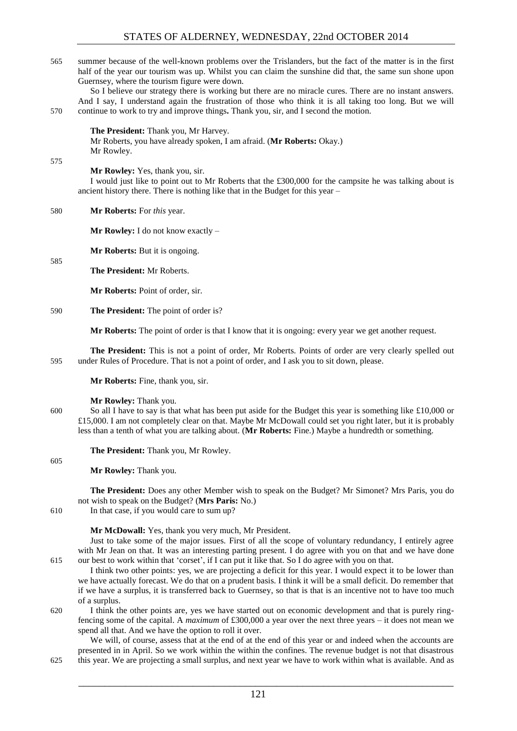565 summer because of the well-known problems over the Trislanders, but the fact of the matter is in the first half of the year our tourism was up. Whilst you can claim the sunshine did that, the same sun shone upon Guernsey, where the tourism figure were down.

So I believe our strategy there is working but there are no miracle cures. There are no instant answers. And I say, I understand again the frustration of those who think it is all taking too long. But we will 570 continue to work to try and improve things**.** Thank you, sir, and I second the motion.

**The President:** Thank you, Mr Harvey. Mr Roberts, you have already spoken, I am afraid. (**Mr Roberts:** Okay.) Mr Rowley.

575

585

**Mr Rowley:** Yes, thank you, sir.

I would just like to point out to Mr Roberts that the £300,000 for the campsite he was talking about is ancient history there. There is nothing like that in the Budget for this year –

580 **Mr Roberts:** For *this* year.

**Mr Rowley:** I do not know exactly –

**Mr Roberts:** But it is ongoing.

**The President:** Mr Roberts.

**Mr Roberts:** Point of order, sir.

590 **The President:** The point of order is?

**Mr Roberts:** The point of order is that I know that it is ongoing: every year we get another request.

**The President:** This is not a point of order, Mr Roberts. Points of order are very clearly spelled out 595 under Rules of Procedure. That is not a point of order, and I ask you to sit down, please.

**Mr Roberts:** Fine, thank you, sir.

#### **Mr Rowley:** Thank you.

600 So all I have to say is that what has been put aside for the Budget this year is something like £10,000 or £15,000. I am not completely clear on that. Maybe Mr McDowall could set you right later, but it is probably less than a tenth of what you are talking about. (**Mr Roberts:** Fine.) Maybe a hundredth or something.

**The President:** Thank you, Mr Rowley.

605

**Mr Rowley:** Thank you.

**The President:** Does any other Member wish to speak on the Budget? Mr Simonet? Mrs Paris, you do not wish to speak on the Budget? (**Mrs Paris:** No.)

610 In that case, if you would care to sum up?

#### **Mr McDowall:** Yes, thank you very much, Mr President.

Just to take some of the major issues. First of all the scope of voluntary redundancy, I entirely agree with Mr Jean on that. It was an interesting parting present. I do agree with you on that and we have done 615 our best to work within that 'corset', if I can put it like that. So I do agree with you on that.

I think two other points: yes, we are projecting a deficit for this year. I would expect it to be lower than we have actually forecast. We do that on a prudent basis. I think it will be a small deficit. Do remember that if we have a surplus, it is transferred back to Guernsey, so that is that is an incentive not to have too much of a surplus.

620 I think the other points are, yes we have started out on economic development and that is purely ringfencing some of the capital. A *maximum* of £300,000 a year over the next three years – it does not mean we spend all that. And we have the option to roll it over.

We will, of course, assess that at the end of at the end of this year or and indeed when the accounts are presented in in April. So we work within the within the confines. The revenue budget is not that disastrous 625 this year. We are projecting a small surplus, and next year we have to work within what is available. And as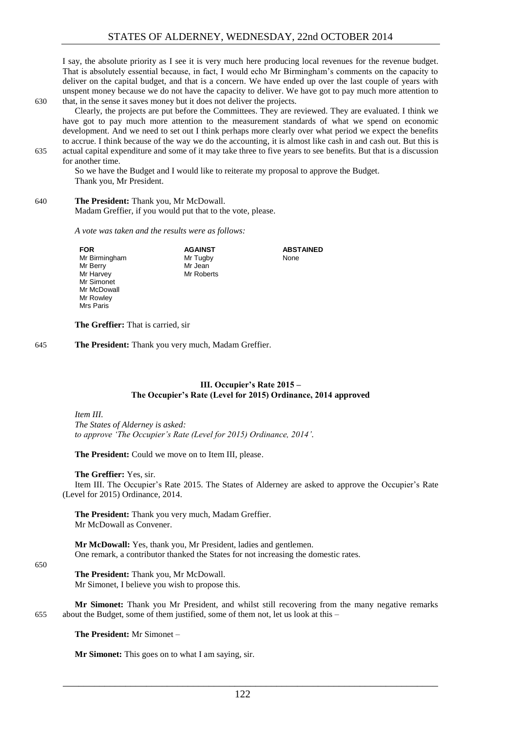I say, the absolute priority as I see it is very much here producing local revenues for the revenue budget. That is absolutely essential because, in fact, I would echo Mr Birmingham's comments on the capacity to deliver on the capital budget, and that is a concern. We have ended up over the last couple of years with unspent money because we do not have the capacity to deliver. We have got to pay much more attention to 630 that, in the sense it saves money but it does not deliver the projects.

Clearly, the projects are put before the Committees. They are reviewed. They are evaluated. I think we have got to pay much more attention to the measurement standards of what we spend on economic development. And we need to set out I think perhaps more clearly over what period we expect the benefits to accrue. I think because of the way we do the accounting, it is almost like cash in and cash out. But this is 635 actual capital expenditure and some of it may take three to five years to see benefits. But that is a discussion

for another time.

So we have the Budget and I would like to reiterate my proposal to approve the Budget. Thank you, Mr President.

#### 640 **The President:** Thank you, Mr McDowall.

Madam Greffier, if you would put that to the vote, please.

*A vote was taken and the results were as follows:*

**FOR** Mr Birmingham Mr Berry Mr Harvey Mr Simonet Mr McDowall Mr Rowley Mrs Paris

**AGAINST** Mr Tugby Mr Jean Mr Roberts

**ABSTAINED** None

**The Greffier:** That is carried, sir

645 **The President:** Thank you very much, Madam Greffier.

#### **III. Occupier's Rate 2015 – The Occupier's Rate (Level for 2015) Ordinance, 2014 approved**

<span id="page-13-0"></span>*Item III.*

*The States of Alderney is asked: to approve 'The Occupier's Rate (Level for 2015) Ordinance, 2014'.*

**The President:** Could we move on to Item III, please.

#### **The Greffier:** Yes, sir.

Item III. The Occupier's Rate 2015. The States of Alderney are asked to approve the Occupier's Rate (Level for 2015) Ordinance, 2014.

**The President:** Thank you very much, Madam Greffier. Mr McDowall as Convener.

**Mr McDowall:** Yes, thank you, Mr President, ladies and gentlemen. One remark, a contributor thanked the States for not increasing the domestic rates.

#### 650

**The President:** Thank you, Mr McDowall. Mr Simonet, I believe you wish to propose this.

**Mr Simonet:** Thank you Mr President, and whilst still recovering from the many negative remarks 655 about the Budget, some of them justified, some of them not, let us look at this –

**The President:** Mr Simonet –

**Mr Simonet:** This goes on to what I am saying, sir.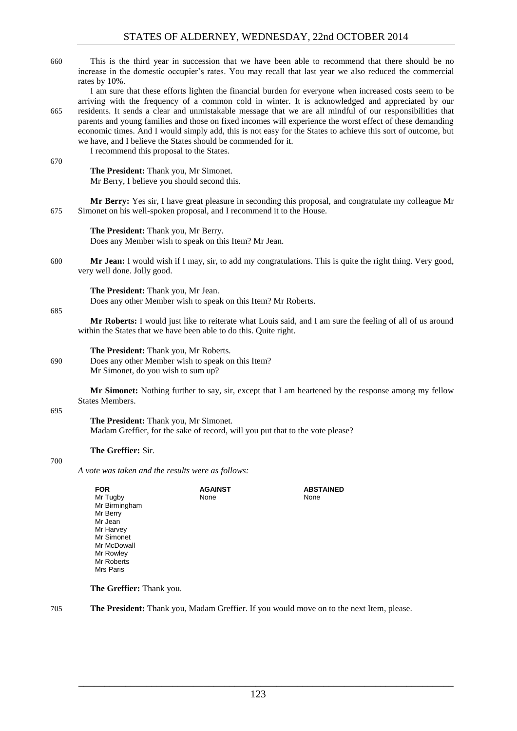|     | <b>FOR</b>                                                                                                                                                                                                                                                                                                                                                                                                                                                                                                                                            | <b>AGAINST</b>                                                                                                                                                                 | <b>ABSTAINED</b> |  |  |
|-----|-------------------------------------------------------------------------------------------------------------------------------------------------------------------------------------------------------------------------------------------------------------------------------------------------------------------------------------------------------------------------------------------------------------------------------------------------------------------------------------------------------------------------------------------------------|--------------------------------------------------------------------------------------------------------------------------------------------------------------------------------|------------------|--|--|
|     | A vote was taken and the results were as follows:                                                                                                                                                                                                                                                                                                                                                                                                                                                                                                     |                                                                                                                                                                                |                  |  |  |
| 700 | The Greffier: Sir.                                                                                                                                                                                                                                                                                                                                                                                                                                                                                                                                    |                                                                                                                                                                                |                  |  |  |
|     | The President: Thank you, Mr Simonet.<br>Madam Greffier, for the sake of record, will you put that to the vote please?                                                                                                                                                                                                                                                                                                                                                                                                                                |                                                                                                                                                                                |                  |  |  |
| 695 | Mr Simonet: Nothing further to say, sir, except that I am heartened by the response among my fellow<br>States Members.                                                                                                                                                                                                                                                                                                                                                                                                                                |                                                                                                                                                                                |                  |  |  |
| 690 | The President: Thank you, Mr Roberts.<br>Does any other Member wish to speak on this Item?<br>Mr Simonet, do you wish to sum up?                                                                                                                                                                                                                                                                                                                                                                                                                      |                                                                                                                                                                                |                  |  |  |
|     | Mr Roberts: I would just like to reiterate what Louis said, and I am sure the feeling of all of us around<br>within the States that we have been able to do this. Quite right.                                                                                                                                                                                                                                                                                                                                                                        |                                                                                                                                                                                |                  |  |  |
| 685 | The President: Thank you, Mr Jean.<br>Does any other Member wish to speak on this Item? Mr Roberts.                                                                                                                                                                                                                                                                                                                                                                                                                                                   |                                                                                                                                                                                |                  |  |  |
| 680 | very well done. Jolly good.                                                                                                                                                                                                                                                                                                                                                                                                                                                                                                                           | Mr Jean: I would wish if I may, sir, to add my congratulations. This is quite the right thing. Very good,                                                                      |                  |  |  |
|     |                                                                                                                                                                                                                                                                                                                                                                                                                                                                                                                                                       | The President: Thank you, Mr Berry.<br>Does any Member wish to speak on this Item? Mr Jean.                                                                                    |                  |  |  |
| 675 |                                                                                                                                                                                                                                                                                                                                                                                                                                                                                                                                                       | Mr Berry: Yes sir, I have great pleasure in seconding this proposal, and congratulate my colleague Mr<br>Simonet on his well-spoken proposal, and I recommend it to the House. |                  |  |  |
| 670 |                                                                                                                                                                                                                                                                                                                                                                                                                                                                                                                                                       | The President: Thank you, Mr Simonet.<br>Mr Berry, I believe you should second this.                                                                                           |                  |  |  |
|     |                                                                                                                                                                                                                                                                                                                                                                                                                                                                                                                                                       | we have, and I believe the States should be commended for it.<br>I recommend this proposal to the States.                                                                      |                  |  |  |
| 665 | I am sure that these efforts lighten the financial burden for everyone when increased costs seem to be<br>arriving with the frequency of a common cold in winter. It is acknowledged and appreciated by our<br>residents. It sends a clear and unmistakable message that we are all mindful of our responsibilities that<br>parents and young families and those on fixed incomes will experience the worst effect of these demanding<br>economic times. And I would simply add, this is not easy for the States to achieve this sort of outcome, but |                                                                                                                                                                                |                  |  |  |
| 660 | This is the third year in succession that we have been able to recommend that there should be no<br>increase in the domestic occupier's rates. You may recall that last year we also reduced the commercial<br>rates by 10%.                                                                                                                                                                                                                                                                                                                          |                                                                                                                                                                                |                  |  |  |
|     |                                                                                                                                                                                                                                                                                                                                                                                                                                                                                                                                                       |                                                                                                                                                                                |                  |  |  |

**FOR** Mr Tugby Mr Birmingham Mr Berry Mr Jean Mr Harvey Mr Simonet Mr McDowall **AGAINST** None

**The Greffier:** Thank you.

Mr Rowley Mr Roberts Mrs Paris

705 **The President:** Thank you, Madam Greffier. If you would move on to the next Item, please.

None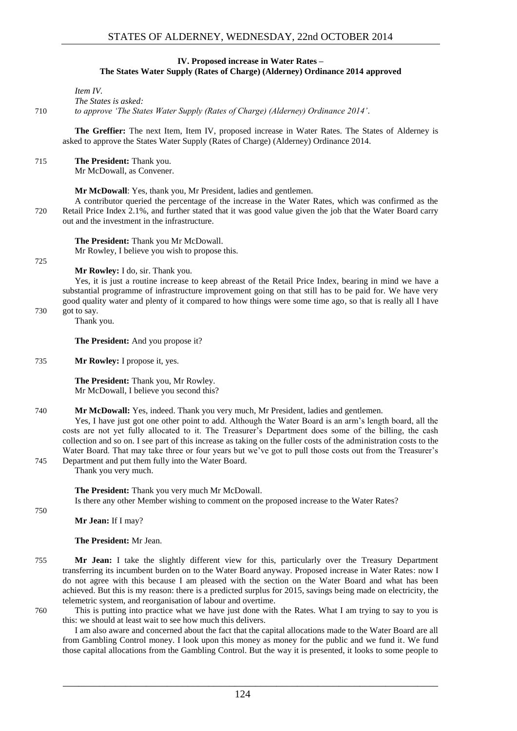#### **IV. Proposed increase in Water Rates – The States Water Supply (Rates of Charge) (Alderney) Ordinance 2014 approved**

<span id="page-15-0"></span>*Item IV.*

*The States is asked:*

710 *to approve 'The States Water Supply (Rates of Charge) (Alderney) Ordinance 2014'.*

**The Greffier:** The next Item, Item IV, proposed increase in Water Rates. The States of Alderney is asked to approve the States Water Supply (Rates of Charge) (Alderney) Ordinance 2014.

715 **The President:** Thank you. Mr McDowall, as Convener.

**Mr McDowall**: Yes, thank you, Mr President, ladies and gentlemen.

A contributor queried the percentage of the increase in the Water Rates, which was confirmed as the 720 Retail Price Index 2.1%, and further stated that it was good value given the job that the Water Board carry out and the investment in the infrastructure.

**The President:** Thank you Mr McDowall. Mr Rowley, I believe you wish to propose this.

725

**Mr Rowley:** I do, sir. Thank you.

Yes, it is just a routine increase to keep abreast of the Retail Price Index, bearing in mind we have a substantial programme of infrastructure improvement going on that still has to be paid for. We have very good quality water and plenty of it compared to how things were some time ago, so that is really all I have 730 got to say.

Thank you.

**The President:** And you propose it?

735 **Mr Rowley:** I propose it, yes.

**The President:** Thank you, Mr Rowley. Mr McDowall, I believe you second this?

740 **Mr McDowall:** Yes, indeed. Thank you very much, Mr President, ladies and gentlemen.

Yes, I have just got one other point to add. Although the Water Board is an arm's length board, all the costs are not yet fully allocated to it. The Treasurer's Department does some of the billing, the cash collection and so on. I see part of this increase as taking on the fuller costs of the administration costs to the Water Board. That may take three or four years but we've got to pull those costs out from the Treasurer's 745 Department and put them fully into the Water Board.

Thank you very much.

**The President:** Thank you very much Mr McDowall. Is there any other Member wishing to comment on the proposed increase to the Water Rates?

750

**Mr Jean:** If I may?

**The President:** Mr Jean.

- 755 **Mr Jean:** I take the slightly different view for this, particularly over the Treasury Department transferring its incumbent burden on to the Water Board anyway. Proposed increase in Water Rates: now I do not agree with this because I am pleased with the section on the Water Board and what has been achieved. But this is my reason: there is a predicted surplus for 2015, savings being made on electricity, the telemetric system, and reorganisation of labour and overtime.
- 760 This is putting into practice what we have just done with the Rates. What I am trying to say to you is this: we should at least wait to see how much this delivers.

I am also aware and concerned about the fact that the capital allocations made to the Water Board are all from Gambling Control money. I look upon this money as money for the public and we fund it. We fund those capital allocations from the Gambling Control. But the way it is presented, it looks to some people to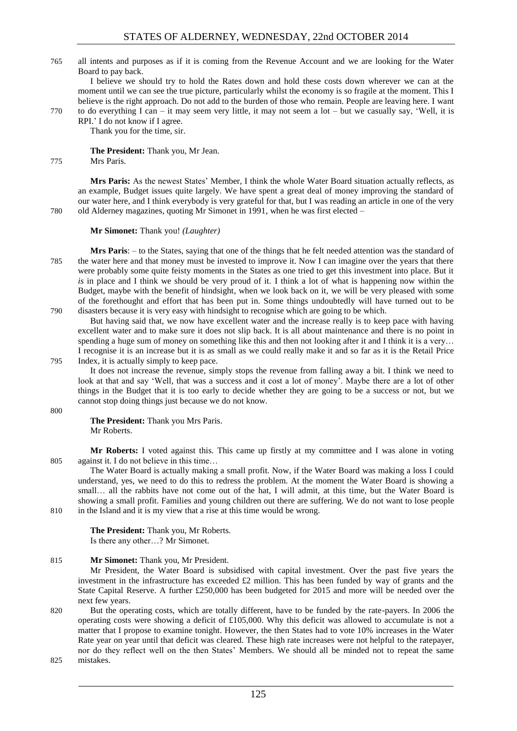765 all intents and purposes as if it is coming from the Revenue Account and we are looking for the Water Board to pay back.

I believe we should try to hold the Rates down and hold these costs down wherever we can at the moment until we can see the true picture, particularly whilst the economy is so fragile at the moment. This I believe is the right approach. Do not add to the burden of those who remain. People are leaving here. I want 770 to do everything I can – it may seem very little, it may not seem a lot – but we casually say, 'Well, it is

RPI.' I do not know if I agree. Thank you for the time, sir.

**The President:** Thank you, Mr Jean.

#### 775 Mrs Paris.

**Mrs Paris:** As the newest States' Member, I think the whole Water Board situation actually reflects, as an example, Budget issues quite largely. We have spent a great deal of money improving the standard of our water here, and I think everybody is very grateful for that, but I was reading an article in one of the very 780 old Alderney magazines, quoting Mr Simonet in 1991, when he was first elected –

#### **Mr Simonet:** Thank you! *(Laughter)*

**Mrs Paris**: – to the States, saying that one of the things that he felt needed attention was the standard of 785 the water here and that money must be invested to improve it. Now I can imagine over the years that there were probably some quite feisty moments in the States as one tried to get this investment into place. But it *is* in place and I think we should be very proud of it. I think a lot of what is happening now within the Budget, maybe with the benefit of hindsight, when we look back on it, we will be very pleased with some of the forethought and effort that has been put in. Some things undoubtedly will have turned out to be 790 disasters because it is very easy with hindsight to recognise which are going to be which.

But having said that, we now have excellent water and the increase really is to keep pace with having excellent water and to make sure it does not slip back. It is all about maintenance and there is no point in spending a huge sum of money on something like this and then not looking after it and I think it is a very... I recognise it is an increase but it is as small as we could really make it and so far as it is the Retail Price

#### 795 Index, it is actually simply to keep pace.

It does not increase the revenue, simply stops the revenue from falling away a bit. I think we need to look at that and say 'Well, that was a success and it cost a lot of money'. Maybe there are a lot of other things in the Budget that it is too early to decide whether they are going to be a success or not, but we cannot stop doing things just because we do not know.

800

**The President:** Thank you Mrs Paris. Mr Roberts.

**Mr Roberts:** I voted against this. This came up firstly at my committee and I was alone in voting 805 against it. I do not believe in this time…

The Water Board is actually making a small profit. Now, if the Water Board was making a loss I could understand, yes, we need to do this to redress the problem. At the moment the Water Board is showing a small... all the rabbits have not come out of the hat, I will admit, at this time, but the Water Board is showing a small profit. Families and young children out there are suffering. We do not want to lose people 810 in the Island and it is my view that a rise at this time would be wrong.

#### **The President:** Thank you, Mr Roberts.

Is there any other…? Mr Simonet.

#### 815 **Mr Simonet:** Thank you, Mr President.

Mr President, the Water Board is subsidised with capital investment. Over the past five years the investment in the infrastructure has exceeded  $\pounds 2$  million. This has been funded by way of grants and the State Capital Reserve. A further £250,000 has been budgeted for 2015 and more will be needed over the next few years.

820 But the operating costs, which are totally different, have to be funded by the rate-payers. In 2006 the operating costs were showing a deficit of £105,000. Why this deficit was allowed to accumulate is not a matter that I propose to examine tonight. However, the then States had to vote 10% increases in the Water Rate year on year until that deficit was cleared. These high rate increases were not helpful to the ratepayer, nor do they reflect well on the then States' Members. We should all be minded not to repeat the same

825 mistakes.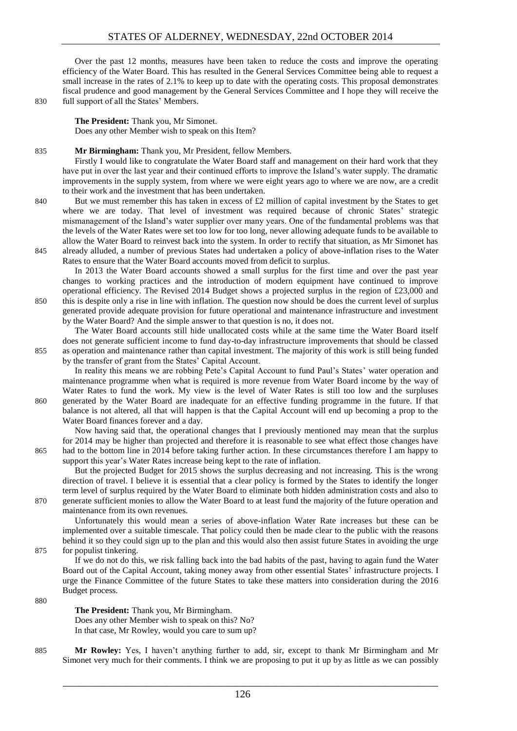Over the past 12 months, measures have been taken to reduce the costs and improve the operating efficiency of the Water Board. This has resulted in the General Services Committee being able to request a small increase in the rates of 2.1% to keep up to date with the operating costs. This proposal demonstrates fiscal prudence and good management by the General Services Committee and I hope they will receive the 830 full support of all the States' Members.

**The President:** Thank you, Mr Simonet. Does any other Member wish to speak on this Item?

#### 835 **Mr Birmingham:** Thank you, Mr President, fellow Members.

Firstly I would like to congratulate the Water Board staff and management on their hard work that they have put in over the last year and their continued efforts to improve the Island's water supply. The dramatic improvements in the supply system, from where we were eight years ago to where we are now, are a credit to their work and the investment that has been undertaken.

840 But we must remember this has taken in excess of £2 million of capital investment by the States to get where we are today. That level of investment was required because of chronic States' strategic mismanagement of the Island's water supplier over many years. One of the fundamental problems was that the levels of the Water Rates were set too low for too long, never allowing adequate funds to be available to allow the Water Board to reinvest back into the system. In order to rectify that situation, as Mr Simonet has 845 already alluded, a number of previous States had undertaken a policy of above-inflation rises to the Water Rates to ensure that the Water Board accounts moved from deficit to surplus.

In 2013 the Water Board accounts showed a small surplus for the first time and over the past year changes to working practices and the introduction of modern equipment have continued to improve operational efficiency. The Revised 2014 Budget shows a projected surplus in the region of £23,000 and 850 this is despite only a rise in line with inflation. The question now should be does the current level of surplus generated provide adequate provision for future operational and maintenance infrastructure and investment by the Water Board? And the simple answer to that question is no, it does not.

The Water Board accounts still hide unallocated costs while at the same time the Water Board itself does not generate sufficient income to fund day-to-day infrastructure improvements that should be classed 855 as operation and maintenance rather than capital investment. The majority of this work is still being funded by the transfer of grant from the States' Capital Account.

In reality this means we are robbing Pete's Capital Account to fund Paul's States' water operation and maintenance programme when what is required is more revenue from Water Board income by the way of Water Rates to fund the work. My view is the level of Water Rates is still too low and the surpluses 860 generated by the Water Board are inadequate for an effective funding programme in the future. If that balance is not altered, all that will happen is that the Capital Account will end up becoming a prop to the Water Board finances forever and a day.

Now having said that, the operational changes that I previously mentioned may mean that the surplus for 2014 may be higher than projected and therefore it is reasonable to see what effect those changes have 865 had to the bottom line in 2014 before taking further action. In these circumstances therefore I am happy to support this year's Water Rates increase being kept to the rate of inflation.

But the projected Budget for 2015 shows the surplus decreasing and not increasing. This is the wrong direction of travel. I believe it is essential that a clear policy is formed by the States to identify the longer term level of surplus required by the Water Board to eliminate both hidden administration costs and also to

870 generate sufficient monies to allow the Water Board to at least fund the majority of the future operation and maintenance from its own revenues.

Unfortunately this would mean a series of above-inflation Water Rate increases but these can be implemented over a suitable timescale. That policy could then be made clear to the public with the reasons behind it so they could sign up to the plan and this would also then assist future States in avoiding the urge 875 for populist tinkering.

If we do not do this, we risk falling back into the bad habits of the past, having to again fund the Water Board out of the Capital Account, taking money away from other essential States' infrastructure projects. I urge the Finance Committee of the future States to take these matters into consideration during the 2016 Budget process.

880

**The President:** Thank you, Mr Birmingham. Does any other Member wish to speak on this? No? In that case, Mr Rowley, would you care to sum up?

885 **Mr Rowley:** Yes, I haven't anything further to add, sir, except to thank Mr Birmingham and Mr Simonet very much for their comments. I think we are proposing to put it up by as little as we can possibly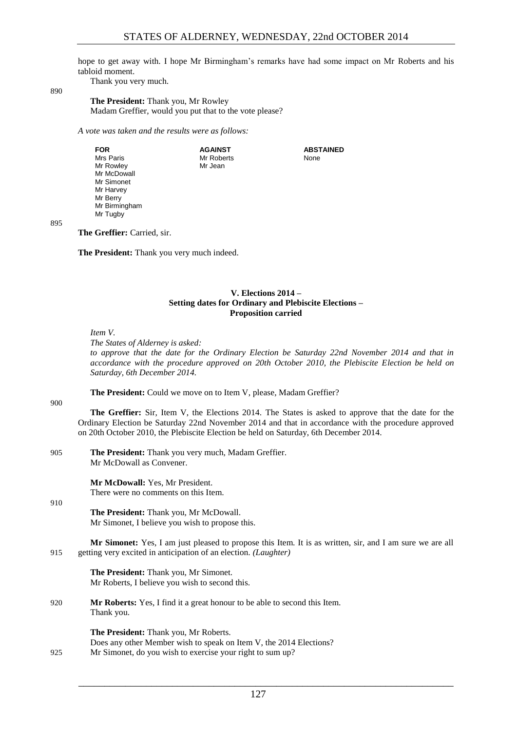hope to get away with. I hope Mr Birmingham's remarks have had some impact on Mr Roberts and his tabloid moment.

> **ABSTAINED** None

Thank you very much.

890

**The President:** Thank you, Mr Rowley Madam Greffier, would you put that to the vote please?

> **AGAINST** Mr Roberts Mr Jean

*A vote was taken and the results were as follows:*

**FOR** Mrs Paris Mr Rowley Mr McDowall Mr Simonet Mr Harvey Mr Berry Mr Birmingham Mr Tugby

895

**The Greffier:** Carried, sir.

<span id="page-18-0"></span>**The President:** Thank you very much indeed.

#### **V. Elections 2014 – Setting dates for Ordinary and Plebiscite Elections – Proposition carried**

*Item V.*

*The States of Alderney is asked:*

*to approve that the date for the Ordinary Election be Saturday 22nd November 2014 and that in accordance with the procedure approved on 20th October 2010, the Plebiscite Election be held on Saturday, 6th December 2014.*

**The President:** Could we move on to Item V, please, Madam Greffier?

900

910

**The Greffier:** Sir, Item V, the Elections 2014. The States is asked to approve that the date for the Ordinary Election be Saturday 22nd November 2014 and that in accordance with the procedure approved on 20th October 2010, the Plebiscite Election be held on Saturday, 6th December 2014.

905 **The President:** Thank you very much, Madam Greffier. Mr McDowall as Convener.

> **Mr McDowall:** Yes, Mr President. There were no comments on this Item.

**The President:** Thank you, Mr McDowall. Mr Simonet, I believe you wish to propose this.

**Mr Simonet:** Yes, I am just pleased to propose this Item. It is as written, sir, and I am sure we are all 915 getting very excited in anticipation of an election. *(Laughter)* 

**The President:** Thank you, Mr Simonet. Mr Roberts, I believe you wish to second this.

920 **Mr Roberts:** Yes, I find it a great honour to be able to second this Item. Thank you.

**The President:** Thank you, Mr Roberts. Does any other Member wish to speak on Item V, the 2014 Elections? 925 Mr Simonet, do you wish to exercise your right to sum up?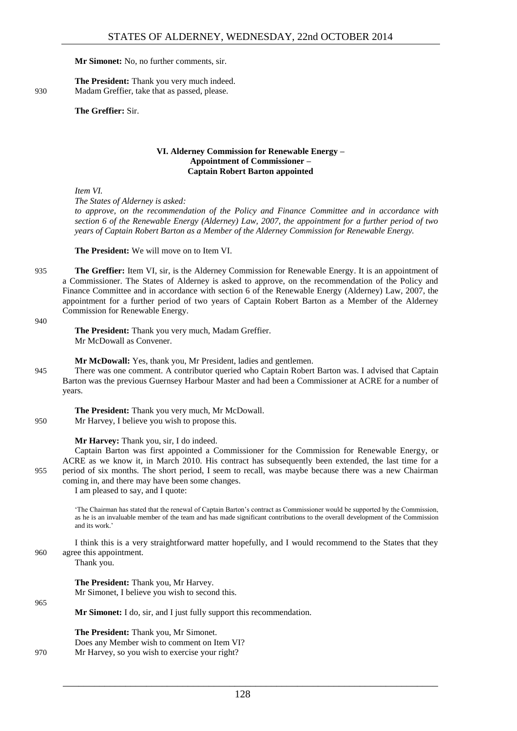#### **Mr Simonet:** No, no further comments, sir.

**The President:** Thank you very much indeed. 930 Madam Greffier, take that as passed, please.

#### **The Greffier:** Sir.

#### **VI. Alderney Commission for Renewable Energy – Appointment of Commissioner – Captain Robert Barton appointed**

<span id="page-19-0"></span>*Item VI.*

*The States of Alderney is asked:*

*to approve, on the recommendation of the Policy and Finance Committee and in accordance with section 6 of the Renewable Energy (Alderney) Law, 2007, the appointment for a further period of two years of Captain Robert Barton as a Member of the Alderney Commission for Renewable Energy.*

**The President:** We will move on to Item VI.

935 **The Greffier:** Item VI, sir, is the Alderney Commission for Renewable Energy. It is an appointment of a Commissioner. The States of Alderney is asked to approve, on the recommendation of the Policy and Finance Committee and in accordance with section 6 of the Renewable Energy (Alderney) Law, 2007, the appointment for a further period of two years of Captain Robert Barton as a Member of the Alderney Commission for Renewable Energy.

#### 940

**The President:** Thank you very much, Madam Greffier. Mr McDowall as Convener.

**Mr McDowall:** Yes, thank you, Mr President, ladies and gentlemen.

945 There was one comment. A contributor queried who Captain Robert Barton was. I advised that Captain Barton was the previous Guernsey Harbour Master and had been a Commissioner at ACRE for a number of years.

**The President:** Thank you very much, Mr McDowall. 950 Mr Harvey, I believe you wish to propose this.

**Mr Harvey:** Thank you, sir, I do indeed.

Captain Barton was first appointed a Commissioner for the Commission for Renewable Energy, or ACRE as we know it, in March 2010. His contract has subsequently been extended, the last time for a 955 period of six months. The short period, I seem to recall, was maybe because there was a new Chairman coming in, and there may have been some changes.

I am pleased to say, and I quote:

'The Chairman has stated that the renewal of Captain Barton's contract as Commissioner would be supported by the Commission, as he is an invaluable member of the team and has made significant contributions to the overall development of the Commission and its work.'

I think this is a very straightforward matter hopefully, and I would recommend to the States that they 960 agree this appointment.

Thank you.

**The President:** Thank you, Mr Harvey. Mr Simonet, I believe you wish to second this.

965

**Mr Simonet:** I do, sir, and I just fully support this recommendation.

**The President:** Thank you, Mr Simonet. Does any Member wish to comment on Item VI? 970 Mr Harvey, so you wish to exercise your right?